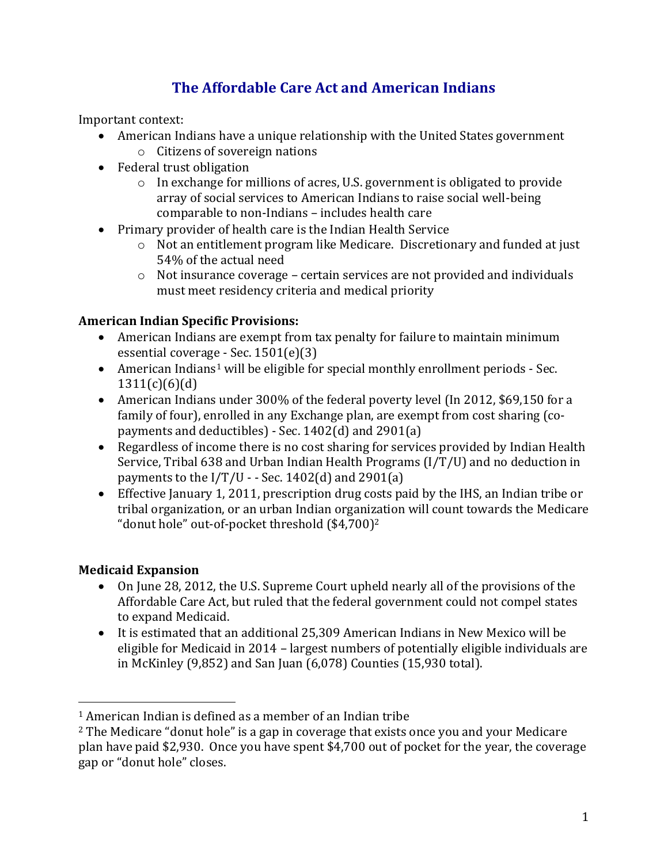## **The Affordable Care Act and American Indians**

Important context:

- American Indians have a unique relationship with the United States government
	- o Citizens of sovereign nations
- Federal trust obligation
	- o In exchange for millions of acres, U.S. government is obligated to provide array of social services to American Indians to raise social well-being comparable to non-Indians – includes health care
- Primary provider of health care is the Indian Health Service
	- o Not an entitlement program like Medicare. Discretionary and funded at just 54% of the actual need
	- o Not insurance coverage certain services are not provided and individuals must meet residency criteria and medical priority

## **American Indian Specific Provisions:**

- American Indians are exempt from tax penalty for failure to maintain minimum essential coverage - Sec. 1501(e)(3)
- American Indians<sup>1</sup> will be eligible for special monthly enrollment periods Sec.  $1311(c)(6)(d)$
- American Indians under 300% of the federal poverty level (In 2012, \$69,150 for a family of four), enrolled in any Exchange plan, are exempt from cost sharing (copayments and deductibles) - Sec. 1402(d) and 2901(a)
- Regardless of income there is no cost sharing for services provided by Indian Health Service, Tribal 638 and Urban Indian Health Programs (I/T/U) and no deduction in payments to the  $I/T/U$  - - Sec. 1402(d) and 2901(a)
- Effective January 1, 2011, prescription drug costs paid by the IHS, an Indian tribe or tribal organization, or an urban Indian organization will count towards the Medicare "donut hole" out-of-pocket threshold (\$4,700)<sup>2</sup>

## **Medicaid Expansion**

 $\overline{a}$ 

- On June 28, 2012, the U.S. Supreme Court upheld nearly all of the provisions of the Affordable Care Act, but ruled that the federal government could not compel states to expand Medicaid.
- It is estimated that an additional 25,309 American Indians in New Mexico will be eligible for Medicaid in 2014 – largest numbers of potentially eligible individuals are in McKinley (9,852) and San Juan (6,078) Counties (15,930 total).

<sup>1</sup> American Indian is defined as a member of an Indian tribe

<sup>2</sup> The Medicare "donut hole" is a gap in coverage that exists once you and your Medicare plan have paid \$2,930. Once you have spent \$4,700 out of pocket for the year, the coverage gap or "donut hole" closes.